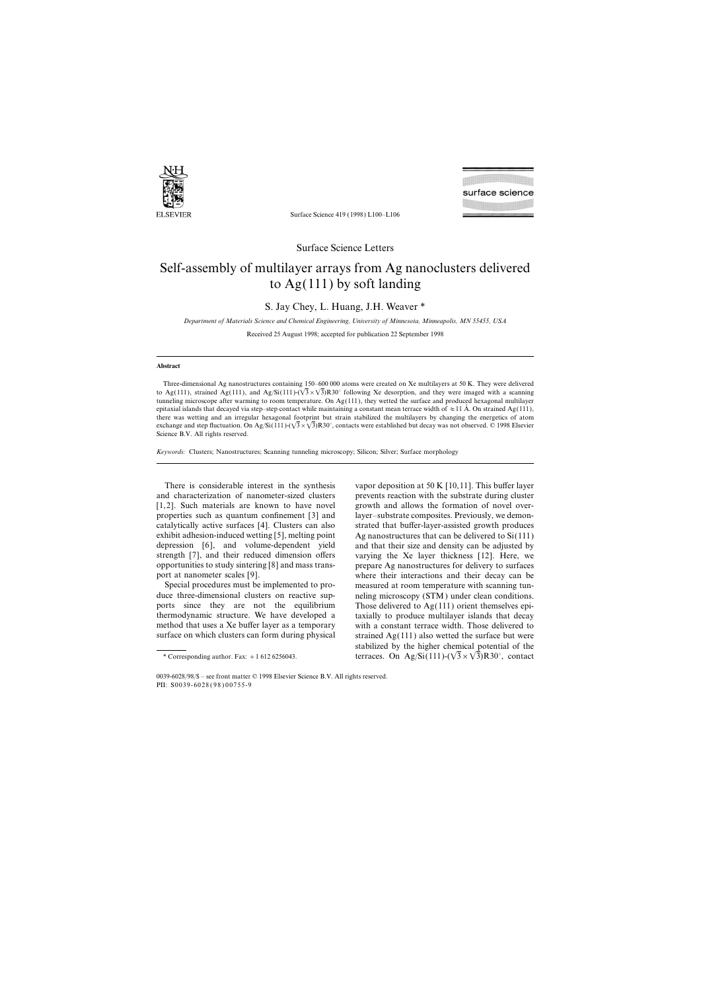

Surface Science 419 (1998) L100–L106



# Surface Science Letters

# Self-assembly of multilayer arrays from Ag nanoclusters delivered to Ag(111) by soft landing

# S. Jay Chey, L. Huang, J.H. Weaver \*

*Department of Materials Science and Chemical Engineering, Uni*v*ersity of Minnesota, Minneapolis, MN 55455, USA*

Received 25 August 1998; accepted for publication 22 September 1998

### **Abstract**

Three-dimensional Ag nanostructures containing 150–600 000 atoms were created on Xe multilayers at 50 K. They were delivered to Ag(111), strained Ag(111), and Ag/Si(111)- $(\sqrt{3} \times \sqrt{3})R30^\circ$  following Xe desorption, and they were imaged with a scanning tunneling microscope after warming to room temperature. On Ag(111), they wetted the surface and produced hexagonal multilayer epitaxial islands that decayed via step–step contact while maintaining a constant mean terrace width of  $\approx 11 \text{ Å}$ . On strained Ag(111), there was wetting and an irregular hexagonal footprint but strain stabilized the multilayers by changing the energetics of atom exchange and step fluctuation. On Ag/Si(111)- $(\sqrt{3} \times \sqrt{3})R30^{\circ}$ , contacts were established but decay was not observed. © 1998 Elsevier Science B.V. All rights reserved.

*Keywords:* Clusters; Nanostructures; Scanning tunneling microscopy; Silicon; Silver; Surface morphology

There is considerable interest in the synthesis vapor deposition at 50 K  $[10,11]$ . This buffer layer and characterization of nanometer-sized clusters prevents reaction with the substrate during cluster [1,2]. Such materials are known to have novel growth and allows the formation of novel overproperties such as quantum confinement [3] and layer–substrate composites. Previously, we demoncatalytically active surfaces [4]. Clusters can also strated that buffer-layer-assisted growth produces exhibit adhesion-induced wetting [5], melting point Ag nanostructures that can be delivered to  $Si(111)$ depression [6], and volume-dependent yield and that their size and density can be adjusted by strength [7], and their reduced dimension offers varying the Xe layer thickness [12]. Here, we opportunities to study sintering [8] and mass trans- prepare Ag nanostructures for delivery to surfaces port at nanometer scales [9]. where their interactions and their decay can be

thermodynamic structure. We have developed a taxially to produce multilayer islands that decay method that uses a Xe buffer layer as a temporary with a constant terrace width. Those delivered to surface on which clusters can form during physical strained  $Ag(111)$  also wetted the surface but were

Special procedures must be implemented to pro- measured at room temperature with scanning tunduce three-dimensional clusters on reactive sup-<br>ports since they are not the equilibrium Those delivered to  $Ag(111)$  orient themselves epi-Those delivered to  $Ag(111)$  orient themselves epistrained Ag(111) also wetted the surface but were stabilized by the higher chemical potential of the \* Corresponding author. Fax: +1 612 6256043. terraces. On Ag/Si(111)-( $(\sqrt{3} \times \sqrt{3})R30^{\circ}$ , contact

<sup>0039-6028</sup>/98/\$ – see front matter © 1998 Elsevier Science B.V. All rights reserved. PII: S0039-6028 ( 98 ) 00755-9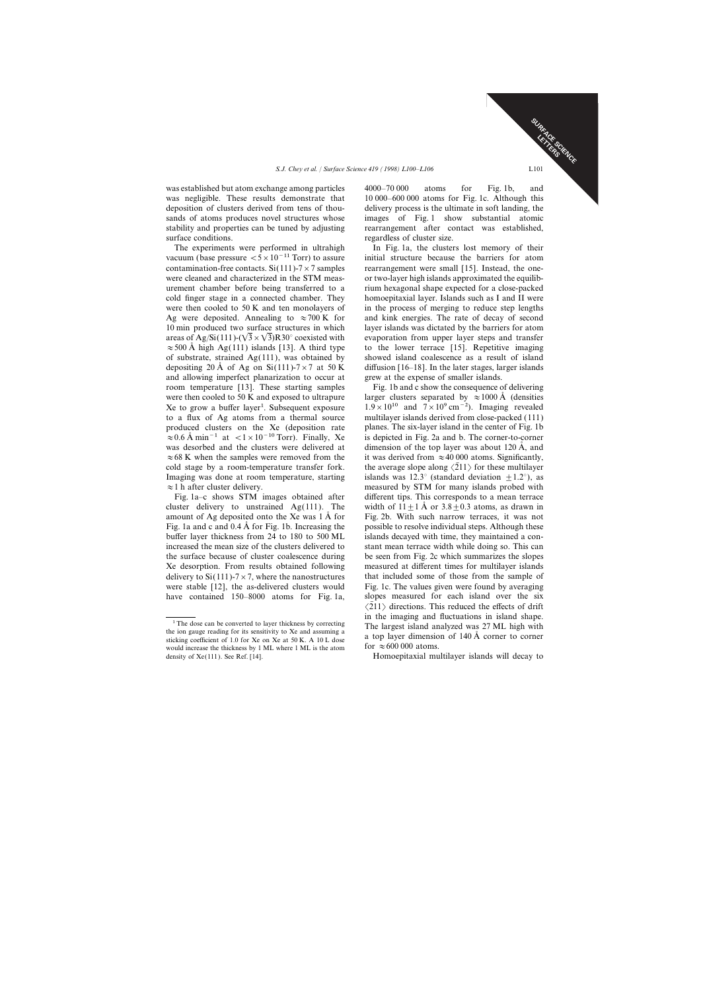was established but atom exchange among particles was negligible. These results demonstrate that deposition of clusters derived from tens of thou- delivery process is the ultimate in soft landing, the sands of atoms produces novel structures whose images of Fig. 1 show substantial atomic stability and properties can be tuned by adjusting rearrangement after contact was established, surface conditions. The surface conditions of cluster size.

vacuum (base pressure  $5 \times 10^{-11}$  Torr) to assure initial structure because the barriers for atom contamination-free contacts. Si(111)-7  $\times$  7 samples rearrangement were small [15]. Instead, the onewere cleaned and characterized in the STM meas- or two-layer high islands approximated the equiliburement chamber before being transferred to a rium hexagonal shape expected for a close-packed cold finger stage in a connected chamber. They homoepitaxial layer. Islands such as I and II were were then cooled to  $50 \text{ K}$  and ten monolayers of in the process of merging to reduce step lengths Ag were deposited. Annealing to  $\approx 700 \text{ K}$  for and kink energies. The rate of decay of second 10 min produced two surface structures in which layer islands was dictated by the barriers for atom areas of Ag/Si(111)-( $\sqrt{3} \times \sqrt{3}$ )R30° coexisted with evaporation from upper layer steps and transfer  $\approx$  500 Å high Ag(111) islands [13]. A third type to the lower terrace [15]. Repetitive imaging of substrate, strained  $Ag(111)$ , was obtained by showed island coalescence as a result of island depositing 20 Å of Ag on Si(111)-7  $\times$  7 at 50 K diffusion [16–18]. In the later stages, larger islands and allowing imperfect planarization to occur at grew at the expense of smaller islands. room temperature [13]. These starting samples Fig. 1b and c show the consequence of delivering were then cooled to 50 K and exposed to ultrapure larger clusters separated by  $\approx 1000 \text{ Å}$  (densities Xe to grow a buffer layer<sup>1</sup>. Subsequent exposure  $1.9 \times 10^{10}$  and  $7 \times 10^{9}$  cm<sup>-2</sup>). Imaging revealed to a flux of Ag atoms from a thermal source multilayer islands derived from close-packed (111) to a flux of Ag atoms from a thermal source produced clusters on the Xe (deposition rate planes. The six-layer island in the center of Fig. 1b  $\approx 0.6$  Å min<sup>-1</sup> at <1 × 10<sup>-10</sup> Torr). Finally, Xe is depicted in Fig. 2a and b. The corner-to-corner was desorbed and the clusters were delivered at dimension of the top layer was about 120  $\AA$ , and  $\approx$  68 K when the samples were removed from the it was derived from  $\approx$  40 000 atoms. Significantly, cold stage by a room-temperature transfer fork. the average slope along  $\langle 211 \rangle$  for these multilayer Imaging was done at room temperature, starting islands was  $12.3^{\circ}$  (standard deviation  $\pm 1.2^{\circ}$ ), as  $\approx$  1 h after cluster delivery. The measured by STM for many islands probed with

cluster delivery to unstrained Ag(111). The width of  $11 \pm 1$  Å or  $3.8 \pm 0.3$  atoms, as drawn in amount of Ag deposited onto the Xe was  $1 \text{ Å}$  for Fig. 2b. With such narrow terraces, it was not Fig. 1a and c and  $0.4 \text{ Å}$  for Fig. 1b. Increasing the spossible to resolve individual steps. Although these buffer layer thickness from 24 to 180 to 500 ML islands decayed with time, they maintained a conincreased the mean size of the clusters delivered to stant mean terrace width while doing so. This can the surface because of cluster coalescence during be seen from Fig. 2c which summarizes the slopes Xe desorption. From results obtained following measured at different times for multilayer islands delivery to  $Si(111)$ -7  $\times$  7, where the nanostructures that included some of those from the sample of were stable [12], the as-delivered clusters would Fig. 1c. The values given were found by averaging have contained 150–8000 atoms for Fig. 1a, slopes measured for each island over the six

4000–70 000 atoms for Fig. 1b, and 10 000–600 000 atoms for Fig. 1c. Although this

The experiments were performed in ultrahigh In Fig. 1a, the clusters lost memory of their

Fig. 1a–c shows STM images obtained after different tips. This corresponds to a mean terrace  $\langle 211 \rangle$  directions. This reduced the effects of drift <sup>1</sup> The dose can be converted to layer thickness by correcting<br>the ion gauge reading for its sensitivity to Xe and assuming a<br>sticking coefficient of 1.0 for Xe on Xe at 50 K. A 10 L dose at top layer dimension of 140 Å c

SURFACE SCENCE

would increase the thickness by 1 ML where 1 ML is the atom density of Xe(111). See Ref. [14]. Homoepitaxial multilayer islands will decay to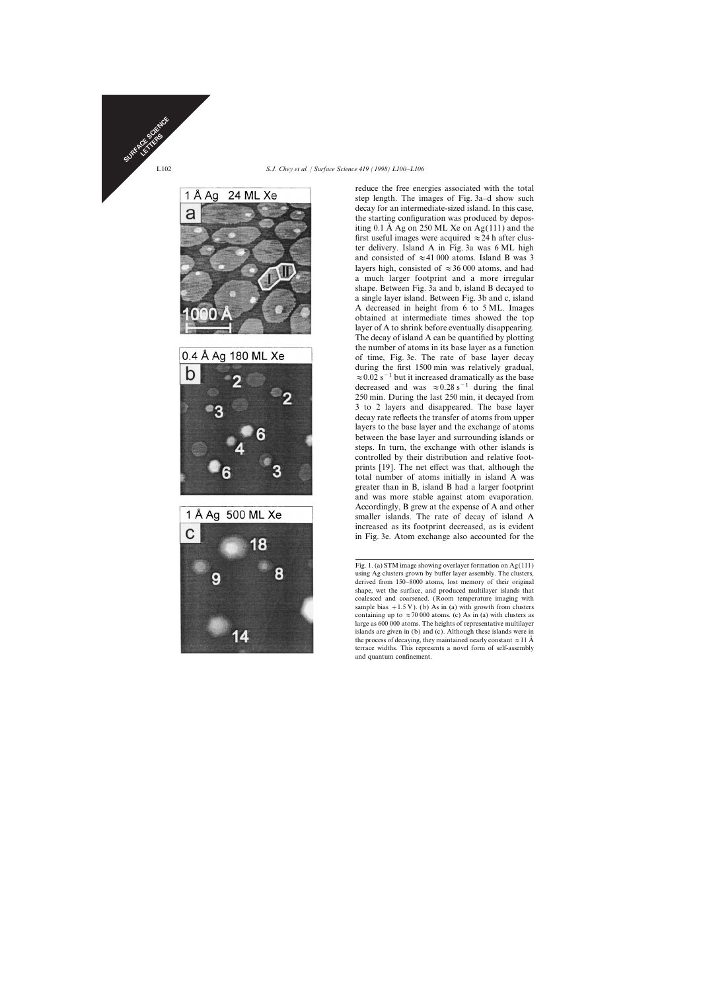





reduce the free energies associated with the total step length. The images of Fig. 3a–d show such decay for an intermediate-sized island. In this case, the starting configuration was produced by depositing 0.1 Å Ag on 250 ML Xe on Ag(111) and the first useful images were acquired  $\approx$  24 h after cluster delivery. Island A in Fig. 3a was 6 ML high and consisted of  $\approx$  41 000 atoms. Island B was 3 layers high, consisted of  $\approx 36000$  atoms, and had a much larger footprint and a more irregular shape. Between Fig. 3a and b, island B decayed to a single layer island. Between Fig. 3b and c, island A decreased in height from 6 to 5 ML. Images obtained at intermediate times showed the top layer of A to shrink before eventually disappearing. The decay of island A can be quantified by plotting the number of atoms in its base layer as a function of time, Fig. 3e. The rate of base layer decay during the first 1500 min was relatively gradual,  $\approx$  0.02 s<sup>-1</sup> but it increased dramatically as the base decreased and was  $\approx 0.28$  s<sup>-1</sup> during the final 250 min. During the last 250 min, it decayed from 3 to 2 layers and disappeared. The base layer decay rate reflects the transfer of atoms from upper layers to the base layer and the exchange of atoms between the base layer and surrounding islands or steps. In turn, the exchange with other islands is controlled by their distribution and relative footprints [19]. The net effect was that, although the total number of atoms initially in island A was greater than in B, island B had a larger footprint and was more stable against atom evaporation. Accordingly, B grew at the expense of A and other smaller islands. The rate of decay of island A increased as its footprint decreased, as is evident in Fig. 3e. Atom exchange also accounted for the

SURFACE SCIENCE CE STRS

Fig. 1. (a) STM image showing overlayer formation on Ag(111) using Ag clusters grown by buffer layer assembly. The clusters, derived from 150–8000 atoms, lost memory of their original shape, wet the surface, and produced multilayer islands that coalesced and coarsened. (Room temperature imaging with sample bias  $+1.5$  V). (b) As in (a) with growth from clusters containing up to  $\approx$  70 000 atoms. (c) As in (a) with clusters as large as 600 000 atoms. The heights of representative multilayer islands are given in (b) and (c). Although these islands were in the process of decaying, they maintained nearly constant  $\approx$  11 Å terrace widths. This represents a novel form of self-assembly and quantum confinement.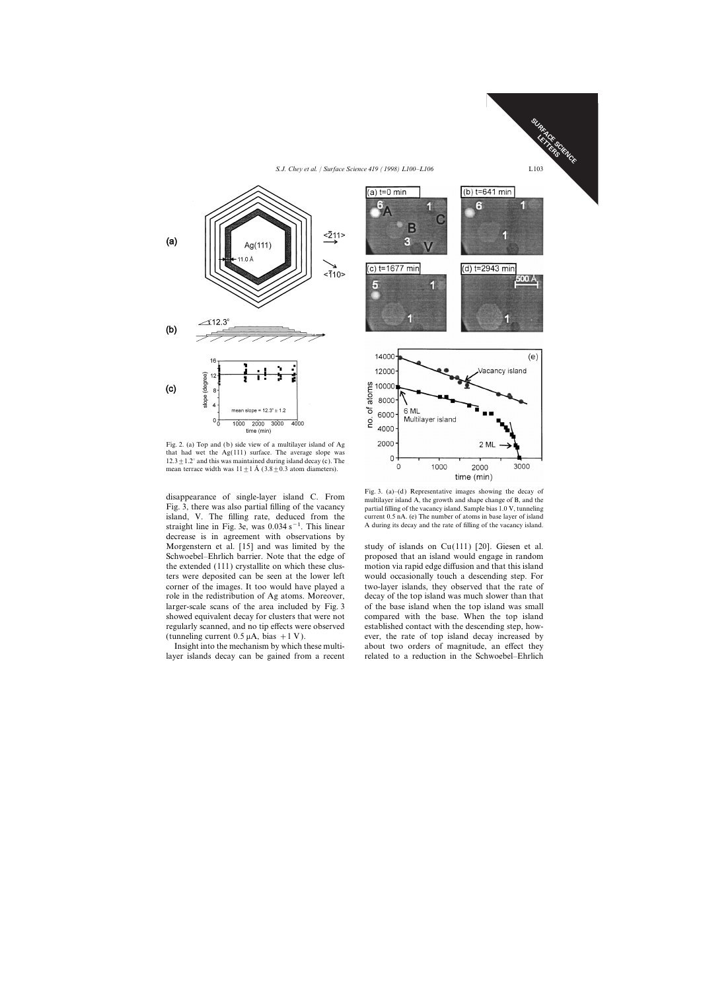*S.J. Chey et al.* / *Surface Science 419 (1998) L100–L106* L103



Fig. 2. (a) Top and (b) side view of a multilayer island of Ag that had wet the  $Ag(111)$  surface. The average slope was  $12.3 \pm 1.2^{\circ}$  and this was maintained during island decay (c). The mean terrace width was  $11 \pm 1$  Å (3.8 $\pm$ 0.3 atom diameters).

Fig. 3, there was also partial filling of the vacancy partial filling of the vacancy island. Sample bias 1.0 V, tunneling island, V. The filling rate, deduced from the current 0.5 nA. (e) The number of atoms in base layer of island straight line in Fig. 3e, was 0.034 s<sup>-1</sup> This linear. A during its decay and the rate of filling of the vacanc straight line in Fig. 3e, was  $0.034$  s<sup>−1</sup>. This linear decrease is in agreement with observations by



disappearance of single-layer island C. From Fig. 3. (a)–(d) Representative images showing the decay of B, and the multilayer island A, the growth and shape change of B, and the

Morgenstern et al. [15] and was limited by the study of islands on  $Cu(111)$  [20]. Giesen et al. Schwoebel–Ehrlich barrier. Note that the edge of proposed that an island would engage in random the extended (111) crystallite on which these clus- motion via rapid edge diffusion and that this island ters were deposited can be seen at the lower left would occasionally touch a descending step. For corner of the images. It too would have played a two-layer islands, they observed that the rate of role in the redistribution of Ag atoms. Moreover, decay of the top island was much slower than that larger-scale scans of the area included by Fig. 3 of the base island when the top island was small showed equivalent decay for clusters that were not compared with the base. When the top island regularly scanned, and no tip effects were observed established contact with the descending step, how- (tunneling current  $0.5 \mu A$ , bias  $+1 V$ ). ever, the rate of top island decay increased by Insight into the mechanism by which these multi- about two orders of magnitude, an effect they layer islands decay can be gained from a recent related to a reduction in the Schwoebel–Ehrlich

SURFACE SCENCE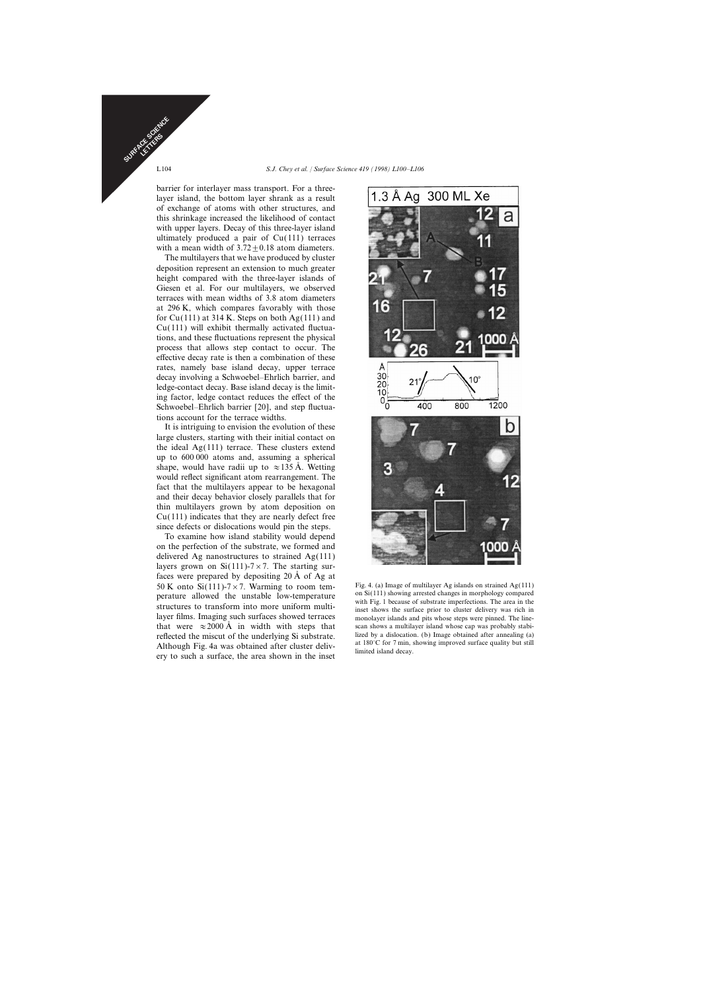barrier for interlayer mass transport. For a threelayer island, the bottom layer shrank as a result of exchange of atoms with other structures, and this shrinkage increased the likelihood of contact with upper layers. Decay of this three-layer island ultimately produced a pair of Cu(111) terraces with a mean width of  $3.72 + 0.18$  atom diameters.

The multilayers that we have produced by cluster deposition represent an extension to much greater height compared with the three-layer islands of Giesen et al. For our multilayers, we observed terraces with mean widths of 3.8 atom diameters at 296 K, which compares favorably with those for  $Cu(111)$  at 314 K. Steps on both Ag(111) and Cu(111) will exhibit thermally activated fluctuations, and these fluctuations represent the physical process that allows step contact to occur. The effective decay rate is then a combination of these rates, namely base island decay, upper terrace decay involving a Schwoebel–Ehrlich barrier, and ledge-contact decay. Base island decay is the limiting factor, ledge contact reduces the effect of the Schwoebel–Ehrlich barrier [20], and step fluctuations account for the terrace widths.

It is intriguing to envision the evolution of these large clusters, starting with their initial contact on the ideal  $Ag(111)$  terrace. These clusters extend up to 600 000 atoms and, assuming a spherical shape, would have radii up to  $\approx 135$  Å. Wetting would reflect significant atom rearrangement. The fact that the multilayers appear to be hexagonal and their decay behavior closely parallels that for thin multilayers grown by atom deposition on  $Cu(111)$  indicates that they are nearly defect free since defects or dislocations would pin the steps.

To examine how island stability would depend on the perfection of the substrate, we formed and delivered Ag nanostructures to strained Ag(111) layers grown on  $Si(111)$ -7 × 7. The starting surfaces were prepared by depositing  $20 \text{ Å}$  of Ag at 50 K onto  $Si(111)$ -7 × 7. Warming to room tem-<br>magnetic strained Ag(111) showing arrested changes in morphology compared<br>on  $Si(111)$  showing arrested changes in morphology compared perature allowed the unstable low-temperature on Si(111) showing arrested changes in morphology compared<br>structures to transform into more uniform multi-<br>inset shows the surface prior to cluster delivery was rich in layer films. Imaging such surfaces showed terraces monolayer islands and pits whose steps were pinned. The linethat were  $\approx 2000 \text{ Å}$  in width with steps that scan shows a multilayer island whose cap was probably stabireflected the miscut of the underlying Si substrate. Iized by a dislocation. (b) Image obtained after annealing (a) Although Fig. 4a was obtained after cluster delivery to such a surface, the area shown in the inset imited



SURFACE SCIENCE CE STRS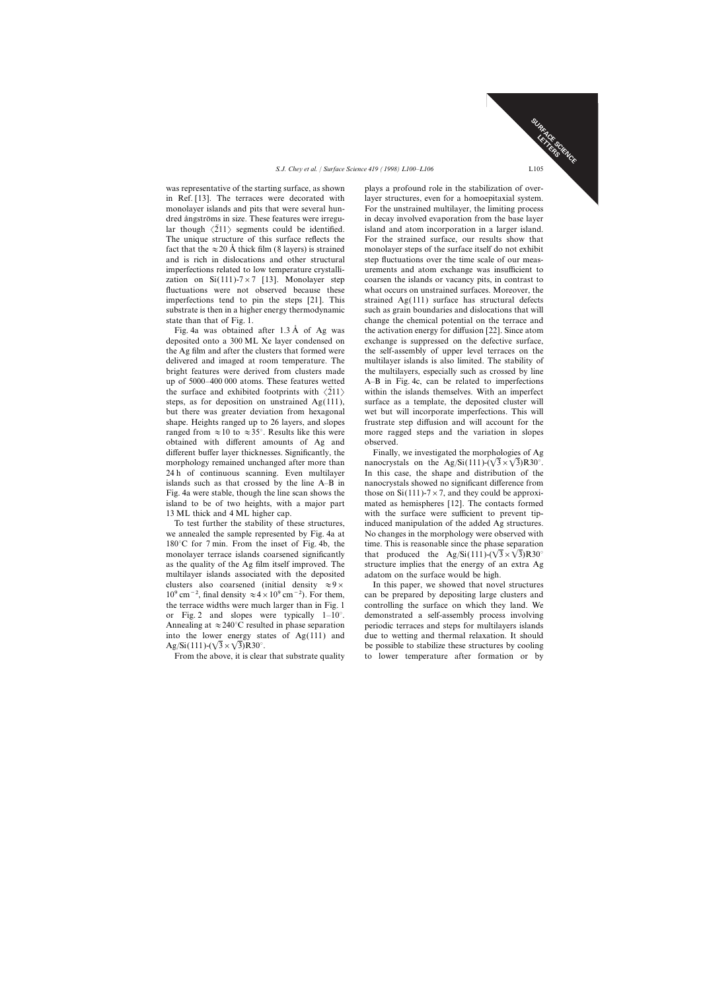was representative of the starting surface, as shown in Ref. [13]. The terraces were decorated with monolayer islands and pits that were several hun-<br>For the unstrained multilayer, the limiting process dred ångströms in size. These features were irregu- in decay involved evaporation from the base layer lar though  $\langle \overline{2}11 \rangle$  segments could be identified. island and atom incorporation in a larger island. The unique structure of this surface reflects the For the strained surface, our results show that fact that the  $\approx$  20 A thick film (8 layers) is strained monolayer steps of the surface itself do not exhibit and is rich in dislocations and other structural step fluctuations over the time scale of our measimperfections related to low temperature crystalli- urements and atom exchange was insufficient to zation on  $Si(111)-7\times7$  [13]. Monolayer step coarsen the islands or vacancy pits, in contrast to fluctuations were not observed because these what occurs on unstrained surfaces. Moreover, the imperfections tend to pin the steps [21]. This strained  $Ag(111)$  surface has structural defects substrate is then in a higher energy thermodynamic such as grain boundaries and dislocations that will state than that of Fig. 1. change the chemical potential on the terrace and

deposited onto a 300 ML Xe layer condensed on exchange is suppressed on the defective surface, the Ag film and after the clusters that formed were the self-assembly of upper level terraces on the delivered and imaged at room temperature. The multilayer islands is also limited. The stability of bright features were derived from clusters made the multilayers, especially such as crossed by line up of 5000–400 000 atoms. These features wetted A–B in Fig. 4c, can be related to imperfections the surface and exhibited footprints with  $\langle \overline{2}11 \rangle$  within the islands themselves. With an imperfect steps, as for deposition on unstrained  $Ag(111)$ , surface as a template, the deposited cluster will but there was greater deviation from hexagonal wet but will incorporate imperfections. This will shape. Heights ranged up to 26 layers, and slopes frustrate step diffusion and will account for the ranged from  $\approx 10$  to  $\approx 35^{\circ}$ . Results like this were more ragged steps and the variation in slopes obtained with different amounts of Ag and observed. different buffer layer thicknesses. Significantly, the Finally, we investigated the morphologies of Ag morphology remained unchanged after more than nanocrystals on the Ag/Si(111)- $(\sqrt{3} \times \sqrt{3})R30^\circ$ . 24 h of continuous scanning. Even multilayer In this case, the shape and distribution of the islands such as that crossed by the line A–B in nanocrystals showed no significant difference from Fig. 4a were stable, though the line scan shows the those on  $Si(111)-7 \times 7$ , and they could be approxiisland to be of two heights, with a major part mated as hemispheres [12]. The contacts formed 13 ML thick and 4 ML higher cap. with the surface were sufficient to prevent tip-

we annealed the sample represented by Fig. 4a at No changes in the morphology were observed with 180°C for 7 min. From the inset of Fig. 4b, the time. This is reasonable since the phase separation monolayer terrace islands coarsened significantly that produced the Ag/Si(111)- $(\sqrt{3} \times \sqrt{3})R30^\circ$ as the quality of the Ag film itself improved. The structure implies that the energy of an extra Ag multilayer islands associated with the deposited adatom on the surface would be high. clusters also coarsened (initial density  $\approx 9 \times$  In this paper, we showed that novel structures  $10^9 \text{ cm}^{-2}$ , final density  $\approx 4 \times 10^9 \text{ cm}^{-2}$ ). For them, can be prepared by depositing large clusters and the terrace widths were much larger than in Fig. 1 controlling the surface on which they land. We or Fig. 2 and slopes were typically  $1-10^\circ$ . demonstrated a self-assembly process involving Annealing at  $\approx 240^{\circ}$ C resulted in phase separation periodic terraces and steps for multilayers islands into the lower energy states of Ag(111) and due to wetting and thermal relaxation. It should  $Ag/Si(111)-(V3 \times V3)R30^\circ$ . be possible to stabilize these structures by cooling

From the above, it is clear that substrate quality to lower temperature after formation or by

plays a profound role in the stabilization of overlayer structures, even for a homoepitaxial system. Fig. 4a was obtained after 1.3 Å of Ag was the activation energy for diffusion [22]. Since atom

To test further the stability of these structures, induced manipulation of the added Ag structures.

can be prepared by depositing large clusters and

SURFACE SCENCE